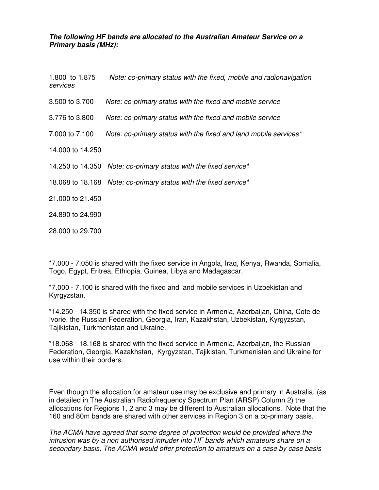## **The following HF bands are allocated to the Australian Amateur Service on a Primary basis (MHz):**

| 1.800 to 1.875<br>services | Note: co-primary status with the fixed, mobile and radionavigation |
|----------------------------|--------------------------------------------------------------------|
| 3.500 to 3.700             | Note: co-primary status with the fixed and mobile service          |
| 3.776 to 3.800             | Note: co-primary status with the fixed and mobile service          |
| 7.000 to 7.100             | Note: co-primary status with the fixed and land mobile services*   |
| 14.000 to 14.250           |                                                                    |
|                            | 14.250 to 14.350 Note: co-primary status with the fixed service*   |
|                            | 18.068 to 18.168 Note: co-primary status with the fixed service*   |
| 21.000 to 21.450           |                                                                    |
| 24.890 to 24.990           |                                                                    |
| 28,000 to 29.700           |                                                                    |

\*7.000 - 7.050 is shared with the fixed service in Angola, Iraq, Kenya, Rwanda, Somalia, Togo, Egypt, Eritrea, Ethiopia, Guinea, Libya and Madagascar.

\*7.000 - 7.100 is shared with the fixed and land mobile services in Uzbekistan and Kyrgyzstan.

\*14.250 - 14.350 is shared with the fixed service in Armenia, Azerbaijan, China, Cote de Ivorie, the Russian Federation, Georgia, Iran, Kazakhstan, Uzbekistan, Kyrgyzstan, Tajikistan, Turkmenistan and Ukraine.

\*18.068 - 18.168 is shared with the fixed service in Armenia, Azerbaijan, the Russian Federation, Georgia, Kazakhstan, Kyrgyzstan, Tajikistan, Turkmenistan and Ukraine for use within their borders.

Even though the allocation for amateur use may be exclusive and primary in Australia, (as in detailed in The Australian Radiofrequency Spectrum Plan (ARSP) Column 2) the allocations for Regions 1, 2 and 3 may be different to Australian allocations. Note that the 160 and 80m bands are shared with other services in Region 3 on a co-primary basis.

The ACMA have agreed that some degree of protection would be provided where the intrusion was by a non authorised intruder into HF bands which amateurs share on a secondary basis. The ACMA would offer protection to amateurs on a case by case basis